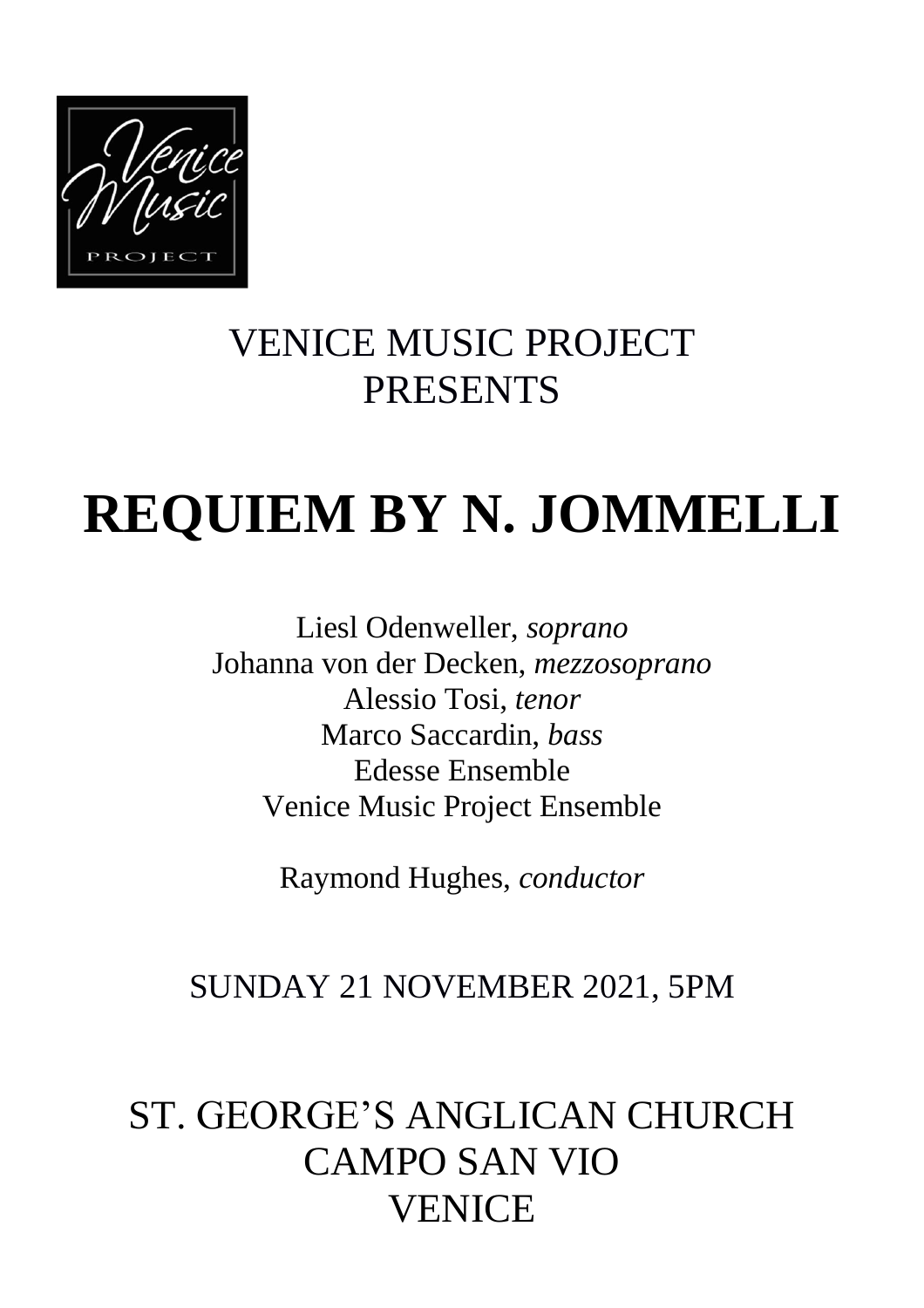

## VENICE MUSIC PROJECT PRESENTS

# **REQUIEM BY N. JOMMELLI**

Liesl Odenweller, *soprano* Johanna von der Decken, *mezzosoprano* Alessio Tosi, *tenor* Marco Saccardin, *bass* Edesse Ensemble Venice Music Project Ensemble

Raymond Hughes, *conductor*

### SUNDAY 21 NOVEMBER 2021, 5PM

## ST. GEORGE'S ANGLICAN CHURCH CAMPO SAN VIO VENICE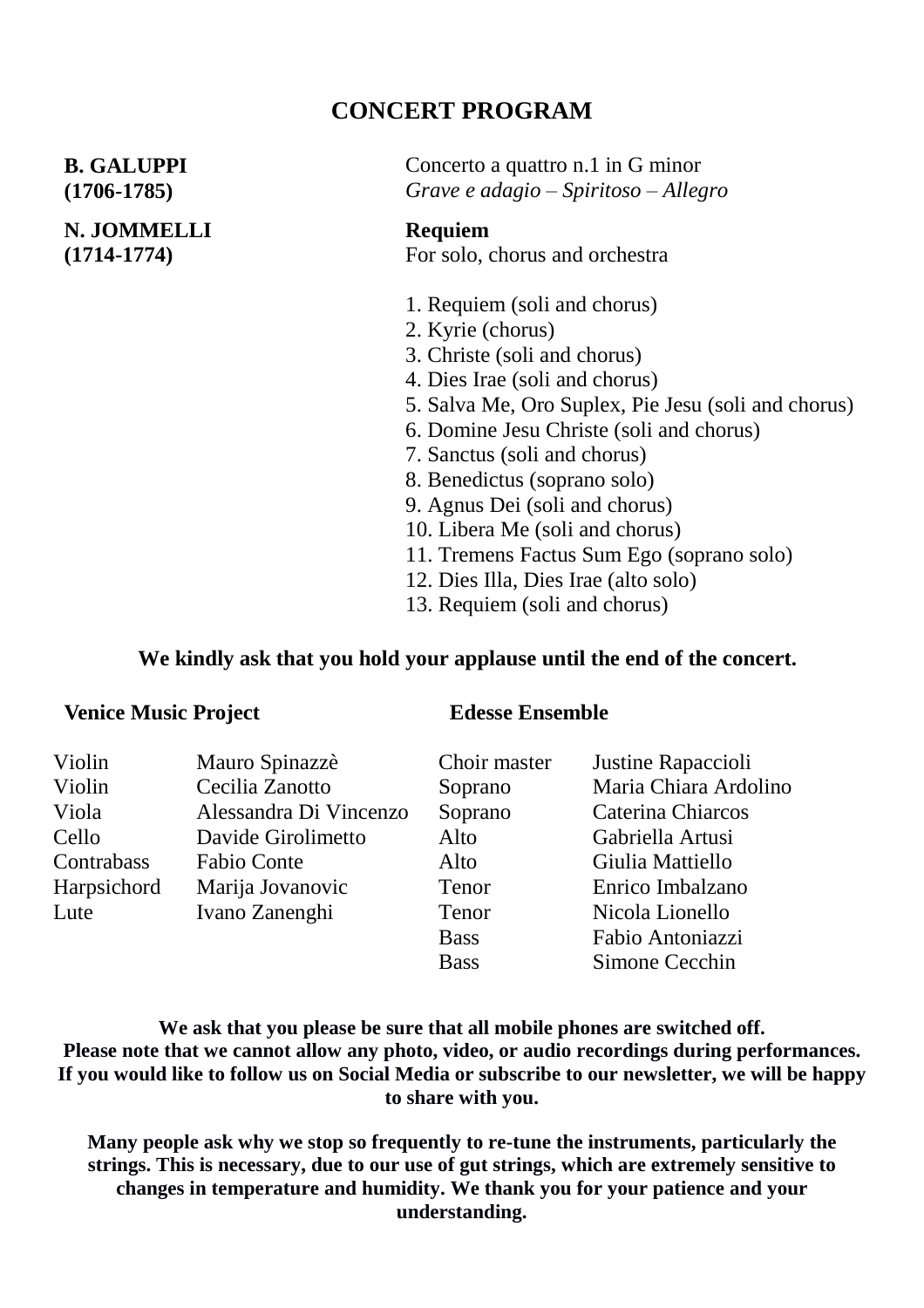### **CONCERT PROGRAM**

#### **B. GALUPPI (1706-1785)**

#### **N. JOMMELLI (1714-1774)**

Concerto a quattro n.1 in G minor *Grave e adagio – Spiritoso – Allegro*

#### **Requiem** For solo, chorus and orchestra

- 1. Requiem (soli and chorus)
- 2. Kyrie (chorus)
- 3. Christe (soli and chorus)
- 4. Dies Irae (soli and chorus)
- 5. Salva Me, Oro Suplex, Pie Jesu (soli and chorus)
- 6. Domine Jesu Christe (soli and chorus)
- 7. Sanctus (soli and chorus)
- 8. Benedictus (soprano solo)
- 9. Agnus Dei (soli and chorus)
- 10. Libera Me (soli and chorus)
- 11. Tremens Factus Sum Ego (soprano solo)
- 12. Dies Illa, Dies Irae (alto solo)
- 13. Requiem (soli and chorus)

#### **We kindly ask that you hold your applause until the end of the concert.**

#### **Venice Music Project Edesse Ensemble**

| Violin      | Mauro Spinazzè         | Choir master | Justine Rapaccioli    |
|-------------|------------------------|--------------|-----------------------|
| Violin      | Cecilia Zanotto        | Soprano      | Maria Chiara Ardolino |
| Viola       | Alessandra Di Vincenzo | Soprano      | Caterina Chiarcos     |
| Cello       | Davide Girolimetto     | Alto         | Gabriella Artusi      |
| Contrabass  | Fabio Conte            | Alto         | Giulia Mattiello      |
| Harpsichord | Marija Jovanovic       | Tenor        | Enrico Imbalzano      |
| Lute        | Ivano Zanenghi         | Tenor        | Nicola Lionello       |
|             |                        | <b>Bass</b>  | Fabio Antoniazzi      |
|             |                        | <b>Bass</b>  | Simone Cecchin        |

**We ask that you please be sure that all mobile phones are switched off. Please note that we cannot allow any photo, video, or audio recordings during performances.** If you would like to follow us on Social Media or subscribe to our newsletter, we will be happy **to share with you.**

**Many people ask why we stop so frequently to re-tune the instruments, particularly the strings. This is necessary, due to our use of gut strings, which are extremely sensitive to changes in temperature and humidity. We thank you for your patience and your understanding.**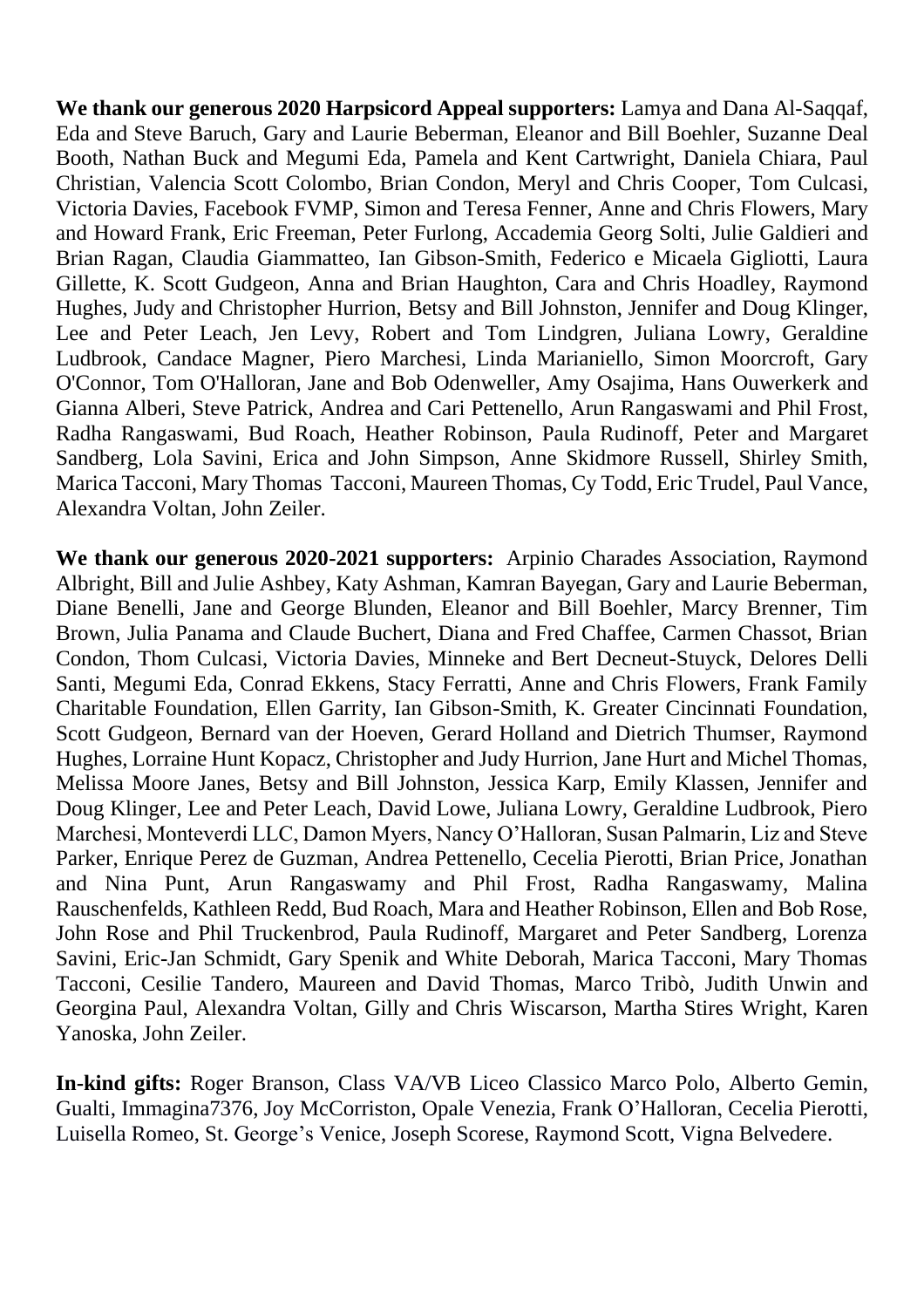**We thank our generous 2020 Harpsicord Appeal supporters:** Lamya and Dana Al-Saqqaf, Eda and Steve Baruch, Gary and Laurie Beberman, Eleanor and Bill Boehler, Suzanne Deal Booth, Nathan Buck and Megumi Eda, Pamela and Kent Cartwright, Daniela Chiara, Paul Christian, Valencia Scott Colombo, Brian Condon, Meryl and Chris Cooper, Tom Culcasi, Victoria Davies, Facebook FVMP, Simon and Teresa Fenner, Anne and Chris Flowers, Mary and Howard Frank, Eric Freeman, Peter Furlong, Accademia Georg Solti, Julie Galdieri and Brian Ragan, Claudia Giammatteo, Ian Gibson-Smith, Federico e Micaela Gigliotti, Laura Gillette, K. Scott Gudgeon, Anna and Brian Haughton, Cara and Chris Hoadley, Raymond Hughes, Judy and Christopher Hurrion, Betsy and Bill Johnston, Jennifer and Doug Klinger, Lee and Peter Leach, Jen Levy, Robert and Tom Lindgren, Juliana Lowry, Geraldine Ludbrook, Candace Magner, Piero Marchesi, Linda Marianiello, Simon Moorcroft, Gary O'Connor, Tom O'Halloran, Jane and Bob Odenweller, Amy Osajima, Hans Ouwerkerk and Gianna Alberi, Steve Patrick, Andrea and Cari Pettenello, Arun Rangaswami and Phil Frost, Radha Rangaswami, Bud Roach, Heather Robinson, Paula Rudinoff, Peter and Margaret Sandberg, Lola Savini, Erica and John Simpson, Anne Skidmore Russell, Shirley Smith, Marica Tacconi, Mary Thomas Tacconi, Maureen Thomas, Cy Todd, Eric Trudel, Paul Vance, Alexandra Voltan, John Zeiler.

**We thank our generous 2020-2021 supporters:** Arpinio Charades Association, Raymond Albright, Bill and Julie Ashbey, Katy Ashman, Kamran Bayegan, Gary and Laurie Beberman, Diane Benelli, Jane and George Blunden, Eleanor and Bill Boehler, Marcy Brenner, Tim Brown, Julia Panama and Claude Buchert, Diana and Fred Chaffee, Carmen Chassot, Brian Condon, Thom Culcasi, Victoria Davies, Minneke and Bert Decneut-Stuyck, Delores Delli Santi, Megumi Eda, Conrad Ekkens, Stacy Ferratti, Anne and Chris Flowers, Frank Family Charitable Foundation, Ellen Garrity, Ian Gibson-Smith, K. Greater Cincinnati Foundation, Scott Gudgeon, Bernard van der Hoeven, Gerard Holland and Dietrich Thumser, Raymond Hughes, Lorraine Hunt Kopacz, Christopher and Judy Hurrion, Jane Hurt and Michel Thomas, Melissa Moore Janes, Betsy and Bill Johnston, Jessica Karp, Emily Klassen, Jennifer and Doug Klinger, Lee and Peter Leach, David Lowe, Juliana Lowry, Geraldine Ludbrook, Piero Marchesi, Monteverdi LLC, Damon Myers, Nancy O'Halloran, Susan Palmarin, Liz and Steve Parker, Enrique Perez de Guzman, Andrea Pettenello, Cecelia Pierotti, Brian Price, Jonathan and Nina Punt, Arun Rangaswamy and Phil Frost, Radha Rangaswamy, Malina Rauschenfelds, Kathleen Redd, Bud Roach, Mara and Heather Robinson, Ellen and Bob Rose, John Rose and Phil Truckenbrod, Paula Rudinoff, Margaret and Peter Sandberg, Lorenza Savini, Eric-Jan Schmidt, Gary Spenik and White Deborah, Marica Tacconi, Mary Thomas Tacconi, Cesilie Tandero, Maureen and David Thomas, Marco Tribò, Judith Unwin and Georgina Paul, Alexandra Voltan, Gilly and Chris Wiscarson, Martha Stires Wright, Karen Yanoska, John Zeiler.

**In-kind gifts:** Roger Branson, Class VA/VB Liceo Classico Marco Polo, Alberto Gemin, Gualti, Immagina7376, Joy McCorriston, Opale Venezia, Frank O'Halloran, Cecelia Pierotti, Luisella Romeo, St. George's Venice, Joseph Scorese, Raymond Scott, Vigna Belvedere.